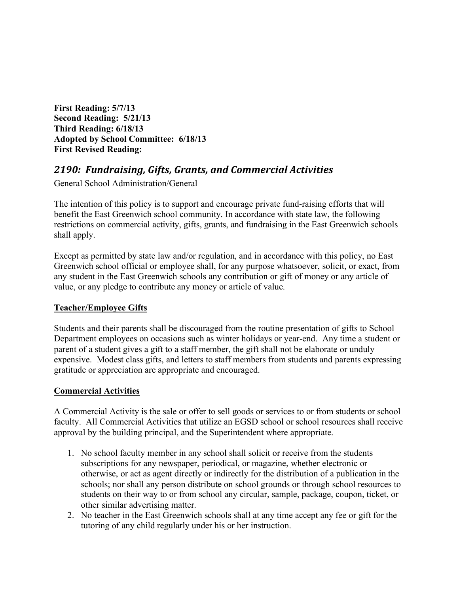**First Reading: 5/7/13 Second Reading: 5/21/13 Third Reading: 6/18/13 Adopted by School Committee: 6/18/13 First Revised Reading:**

# *2190: Fundraising, Gifts, Grants, and Commercial Activities*

General School Administration/General

The intention of this policy is to support and encourage private fund-raising efforts that will benefit the East Greenwich school community. In accordance with state law, the following restrictions on commercial activity, gifts, grants, and fundraising in the East Greenwich schools shall apply.

Except as permitted by state law and/or regulation, and in accordance with this policy, no East Greenwich school official or employee shall, for any purpose whatsoever, solicit, or exact, from any student in the East Greenwich schools any contribution or gift of money or any article of value, or any pledge to contribute any money or article of value.

## **Teacher/Employee Gifts**

Students and their parents shall be discouraged from the routine presentation of gifts to School Department employees on occasions such as winter holidays or year-end. Any time a student or parent of a student gives a gift to a staff member, the gift shall not be elaborate or unduly expensive. Modest class gifts, and letters to staff members from students and parents expressing gratitude or appreciation are appropriate and encouraged.

## **Commercial Activities**

A Commercial Activity is the sale or offer to sell goods or services to or from students or school faculty. All Commercial Activities that utilize an EGSD school or school resources shall receive approval by the building principal, and the Superintendent where appropriate.

- 1. No school faculty member in any school shall solicit or receive from the students subscriptions for any newspaper, periodical, or magazine, whether electronic or otherwise, or act as agent directly or indirectly for the distribution of a publication in the schools; nor shall any person distribute on school grounds or through school resources to students on their way to or from school any circular, sample, package, coupon, ticket, or other similar advertising matter.
- 2. No teacher in the East Greenwich schools shall at any time accept any fee or gift for the tutoring of any child regularly under his or her instruction.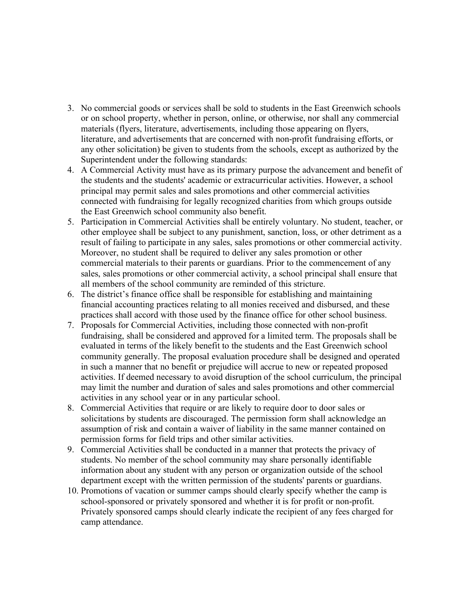- 3. No commercial goods or services shall be sold to students in the East Greenwich schools or on school property, whether in person, online, or otherwise, nor shall any commercial materials (flyers, literature, advertisements, including those appearing on flyers, literature, and advertisements that are concerned with non-profit fundraising efforts, or any other solicitation) be given to students from the schools, except as authorized by the Superintendent under the following standards:
- 4. A Commercial Activity must have as its primary purpose the advancement and benefit of the students and the students' academic or extracurricular activities. However, a school principal may permit sales and sales promotions and other commercial activities connected with fundraising for legally recognized charities from which groups outside the East Greenwich school community also benefit.
- 5. Participation in Commercial Activities shall be entirely voluntary. No student, teacher, or other employee shall be subject to any punishment, sanction, loss, or other detriment as a result of failing to participate in any sales, sales promotions or other commercial activity. Moreover, no student shall be required to deliver any sales promotion or other commercial materials to their parents or guardians. Prior to the commencement of any sales, sales promotions or other commercial activity, a school principal shall ensure that all members of the school community are reminded of this stricture.
- 6. The district's finance office shall be responsible for establishing and maintaining financial accounting practices relating to all monies received and disbursed, and these practices shall accord with those used by the finance office for other school business.
- 7. Proposals for Commercial Activities, including those connected with non-profit fundraising, shall be considered and approved for a limited term. The proposals shall be evaluated in terms of the likely benefit to the students and the East Greenwich school community generally. The proposal evaluation procedure shall be designed and operated in such a manner that no benefit or prejudice will accrue to new or repeated proposed activities. If deemed necessary to avoid disruption of the school curriculum, the principal may limit the number and duration of sales and sales promotions and other commercial activities in any school year or in any particular school.
- 8. Commercial Activities that require or are likely to require door to door sales or solicitations by students are discouraged. The permission form shall acknowledge an assumption of risk and contain a waiver of liability in the same manner contained on permission forms for field trips and other similar activities.
- 9. Commercial Activities shall be conducted in a manner that protects the privacy of students. No member of the school community may share personally identifiable information about any student with any person or organization outside of the school department except with the written permission of the students' parents or guardians.
- 10. Promotions of vacation or summer camps should clearly specify whether the camp is school-sponsored or privately sponsored and whether it is for profit or non-profit. Privately sponsored camps should clearly indicate the recipient of any fees charged for camp attendance.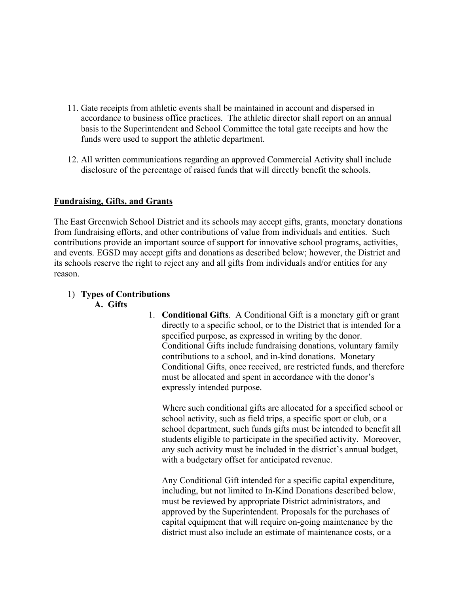- 11. Gate receipts from athletic events shall be maintained in account and dispersed in accordance to business office practices. The athletic director shall report on an annual basis to the Superintendent and School Committee the total gate receipts and how the funds were used to support the athletic department.
- 12. All written communications regarding an approved Commercial Activity shall include disclosure of the percentage of raised funds that will directly benefit the schools.

## **Fundraising, Gifts, and Grants**

The East Greenwich School District and its schools may accept gifts, grants, monetary donations from fundraising efforts, and other contributions of value from individuals and entities. Such contributions provide an important source of support for innovative school programs, activities, and events. EGSD may accept gifts and donations as described below; however, the District and its schools reserve the right to reject any and all gifts from individuals and/or entities for any reason.

## 1) **Types of Contributions**

#### **A. Gifts**

1. **Conditional Gifts**. A Conditional Gift is a monetary gift or grant directly to a specific school, or to the District that is intended for a specified purpose, as expressed in writing by the donor. Conditional Gifts include fundraising donations, voluntary family contributions to a school, and in-kind donations. Monetary Conditional Gifts, once received, are restricted funds, and therefore must be allocated and spent in accordance with the donor's expressly intended purpose.

Where such conditional gifts are allocated for a specified school or school activity, such as field trips, a specific sport or club, or a school department, such funds gifts must be intended to benefit all students eligible to participate in the specified activity. Moreover, any such activity must be included in the district's annual budget, with a budgetary offset for anticipated revenue.

Any Conditional Gift intended for a specific capital expenditure, including, but not limited to In-Kind Donations described below, must be reviewed by appropriate District administrators, and approved by the Superintendent. Proposals for the purchases of capital equipment that will require on-going maintenance by the district must also include an estimate of maintenance costs, or a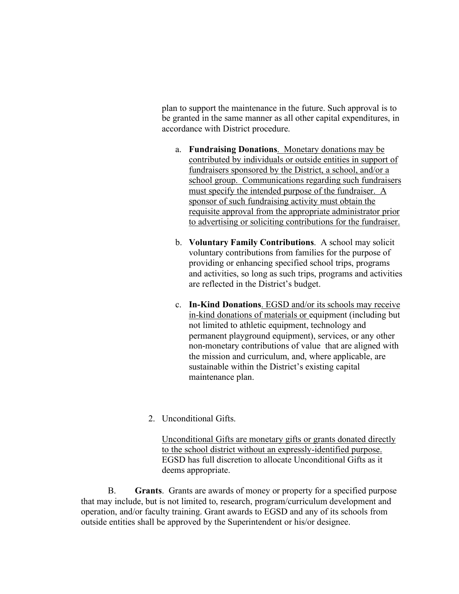plan to support the maintenance in the future. Such approval is to be granted in the same manner as all other capital expenditures, in accordance with District procedure.

- a. **Fundraising Donations**. Monetary donations may be contributed by individuals or outside entities in support of fundraisers sponsored by the District, a school, and/or a school group. Communications regarding such fundraisers must specify the intended purpose of the fundraiser. A sponsor of such fundraising activity must obtain the requisite approval from the appropriate administrator prior to advertising or soliciting contributions for the fundraiser.
- b. **Voluntary Family Contributions**. A school may solicit voluntary contributions from families for the purpose of providing or enhancing specified school trips, programs and activities, so long as such trips, programs and activities are reflected in the District's budget.
- c. **In-Kind Donations**. EGSD and/or its schools may receive in-kind donations of materials or equipment (including but not limited to athletic equipment, technology and permanent playground equipment), services, or any other non-monetary contributions of value that are aligned with the mission and curriculum, and, where applicable, are sustainable within the District's existing capital maintenance plan.
- 2 Unconditional Gifts

Unconditional Gifts are monetary gifts or grants donated directly to the school district without an expressly-identified purpose. EGSD has full discretion to allocate Unconditional Gifts as it deems appropriate.

 B. **Grants**. Grants are awards of money or property for a specified purpose that may include, but is not limited to, research, program/curriculum development and operation, and/or faculty training. Grant awards to EGSD and any of its schools from outside entities shall be approved by the Superintendent or his/or designee.